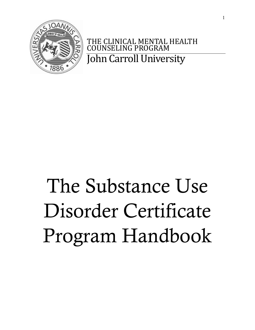

THE CLINICAL MENTAL HEALTH<br>COUNSELING PROGRAM ING PROGRAM John Carroll University

# The Substance Use Disorder Certificate Program Handbook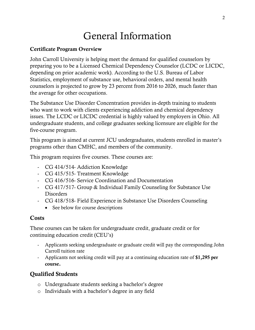## General Information

#### Certificate Program Overview

John Carroll University is helping meet the demand for qualified counselors by preparing you to be a Licensed Chemical Dependency Counselor (LCDC or LICDC, depending on prior academic work). According to the U.S. Bureau of Labor Statistics, employment of substance use, behavioral orders, and mental health counselors is projected to grow by 23 percent from 2016 to 2026, much faster than the average for other occupations.

The Substance Use Disorder Concentration provides in-depth training to students who want to work with clients experiencing addiction and chemical dependency issues. The LCDC or LICDC credential is highly valued by employers in Ohio. All undergraduate students, and college graduates seeking licensure are eligible for the five-course program.

This program is aimed at current JCU undergraduates, students enrolled in master's programs other than CMHC, and members of the community.

This program requires five courses. These courses are:

- CG 414/514- Addiction Knowledge
- CG 415/515- Treatment Knowledge
- CG 416/516- Service Coordination and Documentation
- CG 417/517- Group & Individual Family Counseling for Substance Use **Disorders**
- CG 418/518- Field Experience in Substance Use Disorders Counseling
	- See below for course descriptions

#### **Costs**

These courses can be taken for undergraduate credit, graduate credit or for continuing education credit (CEU's)

- Applicants seeking undergraduate or graduate credit will pay the corresponding John Carroll tuition rate
- Applicants not seeking credit will pay at a continuing education rate of \$1,295 per course.

#### Qualified Students

- o Undergraduate students seeking a bachelor's degree
- o Individuals with a bachelor's degree in any field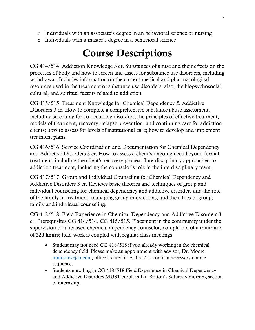- o Individuals with an associate's degree in an behavioral science or nursing
- o Individuals with a master's degree in a behavioral science

# Course Descriptions

CG 414/514. Addiction Knowledge 3 cr. Substances of abuse and their effects on the processes of body and how to screen and assess for substance use disorders, including withdrawal. Includes information on the current medical and pharmacological resources used in the treatment of substance use disorders; also, the biopsychosocial, cultural, and spiritual factors related to addiction

CG 415/515. Treatment Knowledge for Chemical Dependency & Addictive Disorders 3 cr. How to complete a comprehensive substance abuse assessment, including screening for co-occurring disorders; the principles of effective treatment, models of treatment, recovery, relapse prevention, and continuing care for addiction clients; how to assess for levels of institutional care; how to develop and implement treatment plans.

CG 416/516. Service Coordination and Documentation for Chemical Dependency and Addictive Disorders 3 cr. How to assess a client's ongoing need beyond formal treatment, including the client's recovery process. Interdisciplinary approached to addiction treatment, including the counselor's role in the interdisciplinary team.

CG 417/517. Group and Individual Counseling for Chemical Dependency and Addictive Disorders 3 cr. Reviews basic theories and techniques of group and individual counseling for chemical dependency and addictive disorders and the role of the family in treatment; managing group interactions; and the ethics of group, family and individual counseling.

CG 418/518. Field Experience in Chemical Dependency and Addictive Disorders 3 cr. Prerequisites CG 414/514, CG 415/515. Placement in the community under the supervision of a licensed chemical dependency counselor; completion of a minimum of 220 hours; field work is coupled with regular class meetings

- Student may not need CG 418/518 if you already working in the chemical dependency field. Please make an appointment with advisor, Dr. Moore [mmoore@jcu.edu](mailto:mmoore@jcu.edu) ; office located in AD 317 to confirm necessary course sequence.
- Students enrolling in CG 418/518 Field Experience in Chemical Dependency and Addictive Disorders MUST enroll in Dr. Britton's Saturday morning section of internship.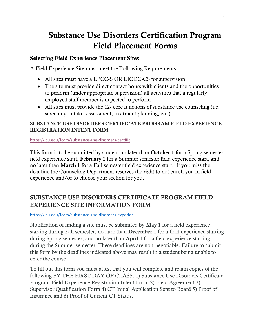## Substance Use Disorders Certification Program Field Placement Forms

#### Selecting Field Experience Placement Sites

A Field Experience Site must meet the Following Requirements:

- All sites must have a LPCC-S OR LICDC-CS for supervision
- The site must provide direct contact hours with clients and the opportunities to perform (under appropriate supervision) all activities that a regularly employed staff member is expected to perform
- All sites must provide the 12- core functions of substance use counseling (i.e. screening, intake, assessment, treatment planning, etc.)

#### SUBSTANCE USE DISORDERS CERTIFICATE PROGRAM FIELD EXPERIENCE REGISTRATION INTENT FORM

<https://jcu.edu/form/substance-use-disorders-certific>

This form is to be submitted by student no later than **October 1** for a Spring semester field experience start, February 1 for a Summer semester field experience start, and no later than March 1 for a Fall semester field experience start. If you miss the deadline the Counseling Department reserves the right to not enroll you in field experience and/or to choose your section for you.

#### SUBSTANCE USE DISORDERS CERTIFICATE PROGRAM FIELD EXPERIENCE SITE INFORMATION FORM

#### <https://jcu.edu/form/substance-use-disorders-experien>

Notification of finding a site must be submitted by May 1 for a field experience starting during Fall semester; no later than December 1 for a field experience starting during Spring semester; and no later than April 1 for a field experience starting during the Summer semester. These deadlines are non-negotiable. Failure to submit this form by the deadlines indicated above may result in a student being unable to enter the course.

To fill out this form you must attest that you will complete and retain copies of the following BY THE FIRST DAY OF CLASS: 1) Substance Use Disorders Certificate Program Field Experience Registration Intent Form 2) Field Agreement 3) Supervisor Qualification Form 4) CT Initial Application Sent to Board 5) Proof of Insurance and 6) Proof of Current CT Status.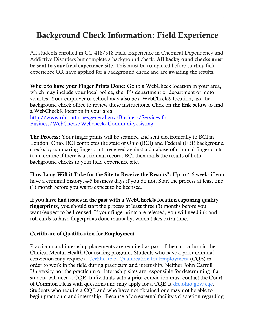### Background Check Information: Field Experience

All students enrolled in CG 418/518 Field Experience in Chemical Dependency and Addictive Disorders but complete a background check. All background checks must be sent to your field experience site. This must be completed before starting field experience OR have applied for a background check and are awaiting the results.

Where to have your Finger Prints Done: Go to a WebCheck location in your area, which may include your local police, sheriff's department or department of motor vehicles. Your employer or school may also be a WebCheck® location; ask the background check office to review these instructions. Click on the link below to find a WebCheck® location in your area.

http://www.ohioattorneygeneral.gov/Business/Services-for-Business/WebCheck/Webcheck- Community-Listing

The Process: Your finger prints will be scanned and sent electronically to BCI in London, Ohio. BCI completes the state of Ohio (BCI) and Federal (FBI) background checks by comparing fingerprints received against a database of criminal fingerprints to determine if there is a criminal record. BCI then mails the results of both background checks to your field experience site.

How Long Will it Take for the Site to Receive the Results?: Up to 4-6 weeks if you have a criminal history, 4-5 business days if you do not. Start the process at least one (1) month before you want/expect to be licensed.

If you have had issues in the past with a WebCheck® location capturing quality fingerprints, you should start the process at least three (3) months before you want/expect to be licensed. If your fingerprints are rejected, you will need ink and roll cards to have fingerprints done manually, which takes extra time.

#### Certificate of Qualification for Employment

Practicum and internship placements are required as part of the curriculum in the Clinical Mental Health Counseling program. Students who have a prior criminal conviction may require a [Certificate of Qualification for Employment](https://drc.ohio.gov/cqe) (CQE) in order to work in the field during practicum and internship. Neither John Carroll University nor the practicum or internship sites are responsible for determining if a student will need a CQE. Individuals with a prior conviction must contact the Court of Common Pleas with questions and may apply for a CQE at  $\frac{drc \cdot \text{ohio.gov}/\text{cqe}}{drc \cdot \text{ohio.gov}/\text{cqe}}$ . Students who require a CQE and who have not obtained one may not be able to begin practicum and internship. Because of an external facility's discretion regarding